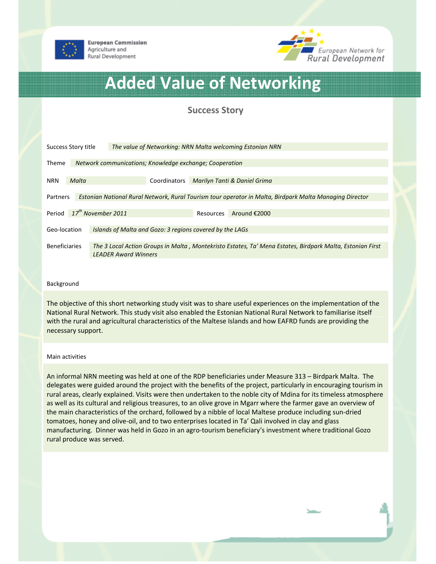

**European Commission** Agriculture and Rural Development



# Added Value of Networking

# Success Story

| Success Story title                                                                                                 |                                                         | The value of Networking: NRN Malta welcoming Estonian NRN                                                                                |                                                          |              |                              |              |  |
|---------------------------------------------------------------------------------------------------------------------|---------------------------------------------------------|------------------------------------------------------------------------------------------------------------------------------------------|----------------------------------------------------------|--------------|------------------------------|--------------|--|
| <b>Theme</b>                                                                                                        | Network communications; Knowledge exchange; Cooperation |                                                                                                                                          |                                                          |              |                              |              |  |
| <b>NRN</b>                                                                                                          | Malta                                                   |                                                                                                                                          |                                                          | Coordinators | Marilyn Tanti & Daniel Grima |              |  |
| Estonian National Rural Network, Rural Tourism tour operator in Malta, Birdpark Malta Managing Director<br>Partners |                                                         |                                                                                                                                          |                                                          |              |                              |              |  |
| Period                                                                                                              | $17^{th}$ November 2011                                 |                                                                                                                                          |                                                          |              | Resources                    | Around €2000 |  |
| Geo-location                                                                                                        |                                                         |                                                                                                                                          | Islands of Malta and Gozo: 3 regions covered by the LAGs |              |                              |              |  |
| <b>Beneficiaries</b>                                                                                                |                                                         | The 3 Local Action Groups in Malta, Montekristo Estates, Ta' Mena Estates, Birdpark Malta, Estonian First<br><b>LEADER Award Winners</b> |                                                          |              |                              |              |  |

### Background

The objective of this short networking study visit was to share useful experiences on the implementation of the National Rural Network. This study visit also enabled the Estonian National Rural Network to familiarise itself with the rural and agricultural characteristics of the Maltese Islands and how EAFRD funds are providing the necessary support.

#### Main activities

An informal NRN meeting was held at one of the RDP beneficiaries under Measure 313 – Birdpark Malta. The delegates were guided around the project with the benefits of the project, particularly in encouraging tourism in rural areas, clearly explained. Visits were then undertaken to the noble city of Mdina for its timeless atmosphere as well as its cultural and religious treasures, to an olive grove in Mgarr where the farmer gave an overview of the main characteristics of the orchard, followed by a nibble of local Maltese produce including sun-dried tomatoes, honey and olive-oil, and to two enterprises located in Ta' Qali involved in clay and glass manufacturing. Dinner was held in Gozo in an agro-tourism beneficiary's investment where traditional Gozo rural produce was served.